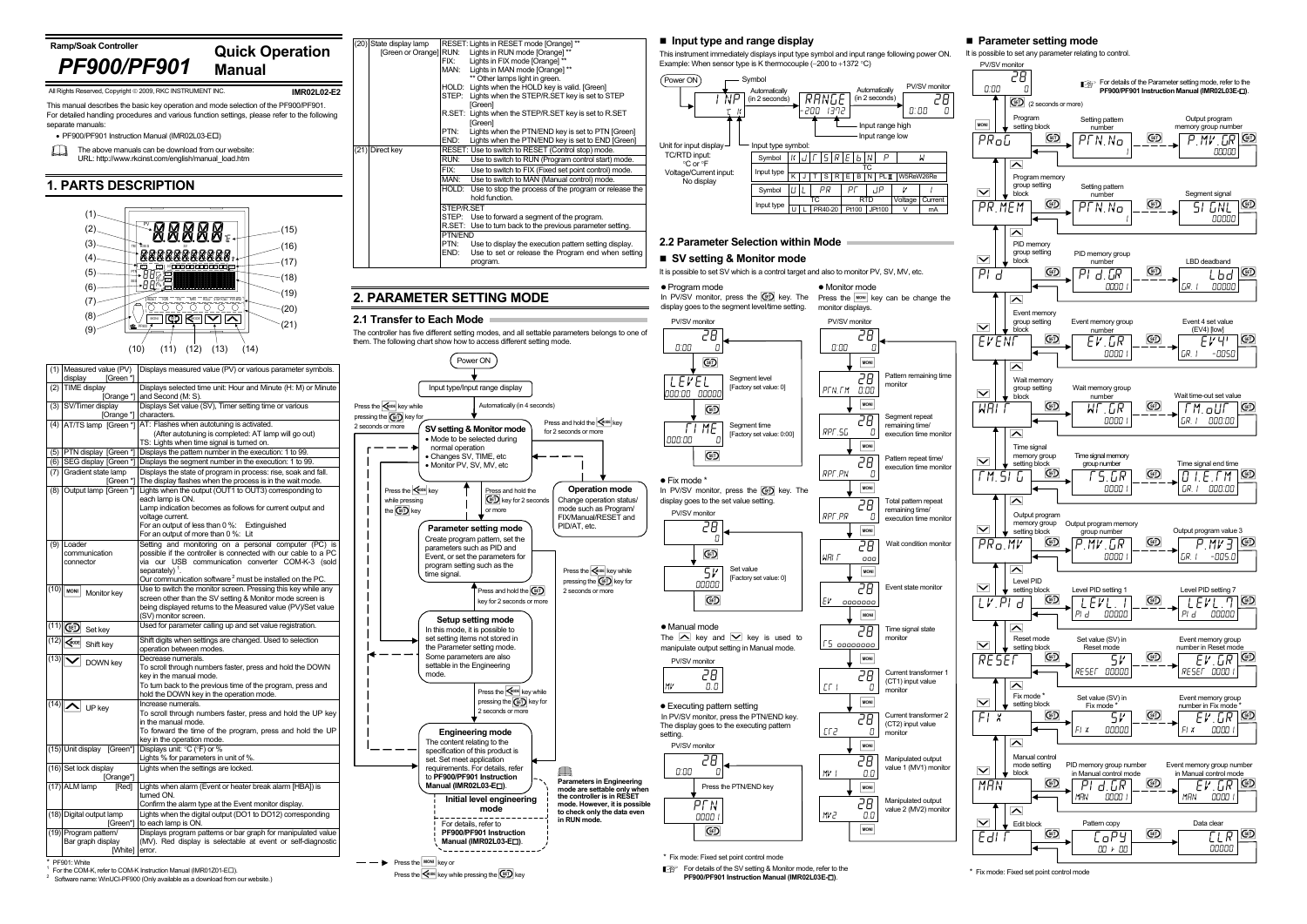## **Parameter setting mode**

It is possible to set any parameter relating to control.



Press the  $\overline{\text{C}^{\text{RODE}}}$  key while pressing the  $\overline{\text{C}^{\text{ED}}}$  key

For the COM-K, refer to COM-K Instruction Manual (IMR01Z01-E $\square$ ).

Software name: WinUCI-PF900 (Only available as a download from our website.)

**PF900/PF901 Instruction Manual (IMR02L03E- )**.



\* Fix mode: Fixed set point control mode